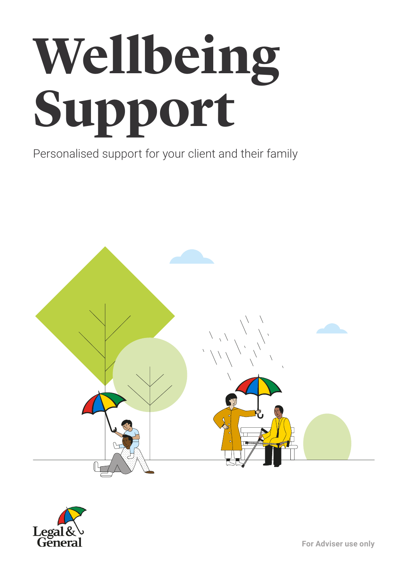# **Wellbeing Support**

Personalised support for your client and their family



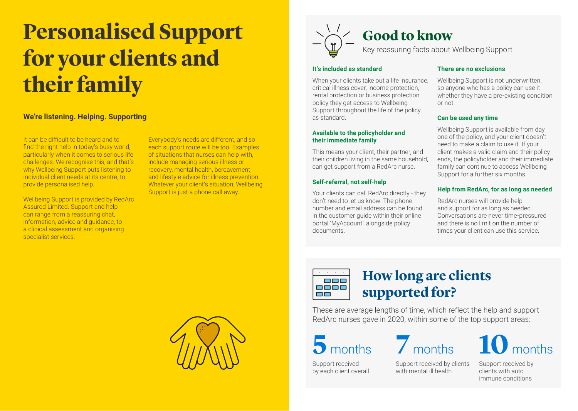# **Personalised Support for your clients and their family**

# **We're listening. Helping. Supporting**

It can be difficult to be heard and to find the right help in today's busy world, particularly when it comes to serious life challenges. We recognise this, and that's why Wellbeing Support puts listening to individual client needs at its centre, to provide personalised help.

Wellbeing Support is provided by RedArc Assured Limited. Support and help can range from a reassuring chat, information, advice and guidance, to a clinical assessment and organising specialist services.

Everybody's needs are different, and so each support route will be too. Examples of situations that nurses can help with, include managing serious illness or recovery, mental health, bereavement, and lifestyle advice for illness prevention. Whatever your client's situation, Wellbeing Support is just a phone call away.





# **It's included as standard**

When your clients take out a life insurance. critical illness cover, income protection, rental protection or business protection policy they get access to Wellbeing Support throughout the life of the policy as standard.

## **Available to the policyholder and their immediate family**

This means your client, their partner, and their children living in the same household, can get support from a RedArc nurse.

# **Self-referral, not self-help**

Your clients can call RedArc directly - they don't need to let us know. The phone number and email address can be found in the customer guide within their online portal 'MyAccount', alongside policy documents.

# **There are no exclusions**

Wellbeing Support is not underwritten. so anyone who has a policy can use it whether they have a pre-existing condition or not.

# **Can be used any time**

Wellbeing Support is available from day one of the policy, and your client doesn't need to make a claim to use it. If your client makes a valid claim and their policy ends, the policyholder and their immediate family can continue to access Wellbeing Support for a further six months.

# **Help from RedArc, for as long as needed**

RedArc nurses will provide help and support for as long as needed. Conversations are never time-pressured and there is no limit on the number of times your client can use this service.



# **How long are clients supported for?**

These are average lengths of time, which reflect the help and support RedArc nurses gave in 2020, within some of the top support areas:

Support received by each client overall Support received by clients with mental ill health

**5** months **7** months **10** months

Support received by clients with auto immune conditions